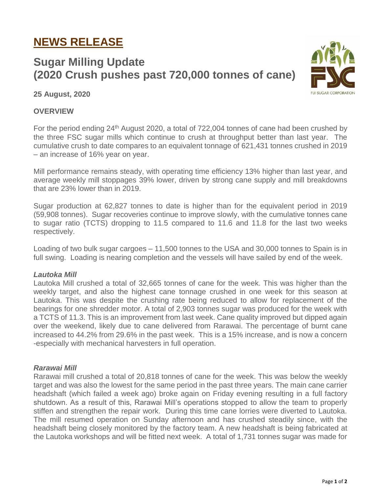# **NEWS RELEASE**

# **Sugar Milling Update (2020 Crush pushes past 720,000 tonnes of cane)**



**25 August, 2020**

## **OVERVIEW**

For the period ending 24<sup>th</sup> August 2020, a total of 722,004 tonnes of cane had been crushed by the three FSC sugar mills which continue to crush at throughput better than last year. The cumulative crush to date compares to an equivalent tonnage of 621,431 tonnes crushed in 2019 – an increase of 16% year on year.

Mill performance remains steady, with operating time efficiency 13% higher than last year, and average weekly mill stoppages 39% lower, driven by strong cane supply and mill breakdowns that are 23% lower than in 2019.

Sugar production at 62,827 tonnes to date is higher than for the equivalent period in 2019 (59,908 tonnes). Sugar recoveries continue to improve slowly, with the cumulative tonnes cane to sugar ratio (TCTS) dropping to 11.5 compared to 11.6 and 11.8 for the last two weeks respectively.

Loading of two bulk sugar cargoes – 11,500 tonnes to the USA and 30,000 tonnes to Spain is in full swing. Loading is nearing completion and the vessels will have sailed by end of the week.

## *Lautoka Mill*

Lautoka Mill crushed a total of 32,665 tonnes of cane for the week. This was higher than the weekly target, and also the highest cane tonnage crushed in one week for this season at Lautoka. This was despite the crushing rate being reduced to allow for replacement of the bearings for one shredder motor. A total of 2,903 tonnes sugar was produced for the week with a TCTS of 11.3. This is an improvement from last week. Cane quality improved but dipped again over the weekend, likely due to cane delivered from Rarawai. The percentage of burnt cane increased to 44.2% from 29.6% in the past week. This is a 15% increase, and is now a concern -especially with mechanical harvesters in full operation.

#### *Rarawai Mill*

Rarawai mill crushed a total of 20,818 tonnes of cane for the week. This was below the weekly target and was also the lowest for the same period in the past three years. The main cane carrier headshaft (which failed a week ago) broke again on Friday evening resulting in a full factory shutdown. As a result of this, Rarawai Mill's operations stopped to allow the team to properly stiffen and strengthen the repair work. During this time cane lorries were diverted to Lautoka. The mill resumed operation on Sunday afternoon and has crushed steadily since, with the headshaft being closely monitored by the factory team. A new headshaft is being fabricated at the Lautoka workshops and will be fitted next week. A total of 1,731 tonnes sugar was made for